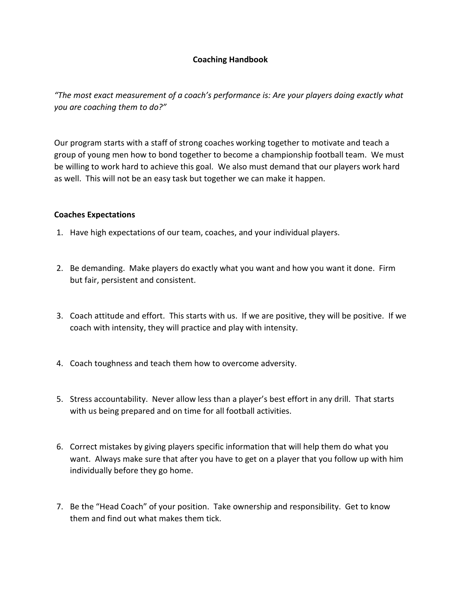## **Coaching Handbook**

*"The most exact measurement of a coach's performance is: Are your players doing exactly what you are coaching them to do?"*

Our program starts with a staff of strong coaches working together to motivate and teach a group of young men how to bond together to become a championship football team. We must be willing to work hard to achieve this goal. We also must demand that our players work hard as well. This will not be an easy task but together we can make it happen.

## **Coaches Expectations**

- 1. Have high expectations of our team, coaches, and your individual players.
- 2. Be demanding. Make players do exactly what you want and how you want it done. Firm but fair, persistent and consistent.
- 3. Coach attitude and effort. This starts with us. If we are positive, they will be positive. If we coach with intensity, they will practice and play with intensity.
- 4. Coach toughness and teach them how to overcome adversity.
- 5. Stress accountability. Never allow less than a player's best effort in any drill. That starts with us being prepared and on time for all football activities.
- 6. Correct mistakes by giving players specific information that will help them do what you want. Always make sure that after you have to get on a player that you follow up with him individually before they go home.
- 7. Be the "Head Coach" of your position. Take ownership and responsibility. Get to know them and find out what makes them tick.